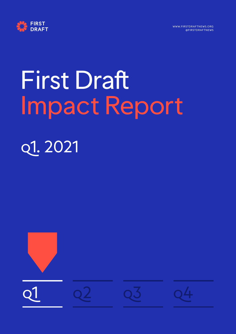



# First Draft Impact Report q1. 2021

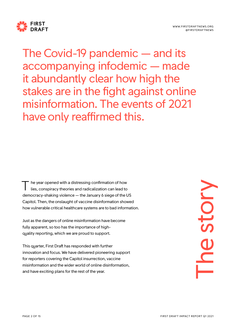

The Covid-19 pandemic — and its accompanying infodemic — made it abundantly clear how high the stakes are in the fight against online misinformation. The events of 2021 have only reaffirmed this.

he year opened with a distressing confirmation of how lies, conspiracy theories and radicalization can lead to democracy-shaking violence — the January 6 siege of the US Capitol. Then, the onslaught of vaccine disinformation showed how vulnerable critical healthcare systems are to bad information. T

Just as the dangers of online misinformation have become fully apparent, so too has the importance of highquality reporting, which we are proud to support.

This quarter, First Draft has responded with further innovation and focus. We have delivered pioneering support for reporters covering the Capitol insurrection, vaccine misinformation and the wider world of online disinformation, and have exciting plans for the rest of the year.

The story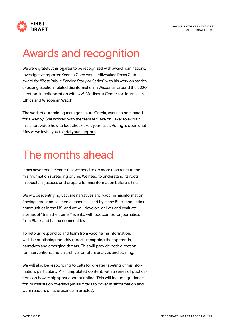

#### Awards and recognition

We were grateful this quarter to be recognized with award nominations. Investigative reporter Keenan Chen won a Milwaukee Press Club award for "Best Public Service Story or Series" with his work on stories exposing election-related disinformation in Wisconsin around the 2020 election, in collaboration with UW-Madison's Center for Journalism Ethics and Wisconsin Watch.

The work of our training manager, Laura Garcia, was also nominated for a Webby. She worked with the team at "Take on Fake" to explain [in a short video](https://www.youtube.com/watch?v=4Rh41NXo_U4) how to fact check like a journalist. Voting is open until May 6; we invite you to [add your support.](https://vote.webbyawards.com/PublicVoting/#/2021/video/general-video/how-to-explainer-diy)

#### The months ahead

It has never been clearer that we need to do more than react to the misinformation spreading online. We need to understand its roots in societal injustices and prepare for misinformation before it hits.

We will be identifying vaccine narratives and vaccine misinformation flowing across social media channels used by many Black and Latinx communities in the US, and we will develop, deliver and evaluate a series of "train the trainer" events, with bootcamps for journalists from Black and Latinx communities.

To help us respond to and learn from vaccine misinformation, we'll be publishing monthly reports recapping the top trends, narratives and emerging threats. This will provide both direction for interventions and an archive for future analysis and training.

We will also be responding to calls for greater labeling of misinformation, particularly AI-manipulated content, with a series of publications on how to signpost content online. This will include guidance for journalists on overlays (visual filters to cover misinformation and warn readers of its presence in articles).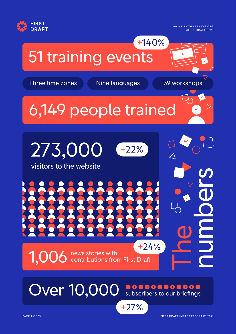

# 51 training events

Three time zones Nine languages 39 workshops

 $\triangleright$ 

+140%

# 6,149 people trained



Over 10,000 subscribers to our briefings

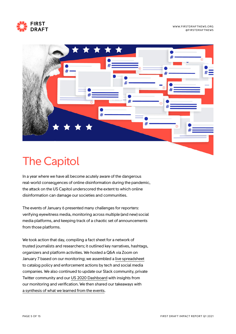



# The Capitol

In a year where we have all become acutely aware of the dangerous real-world consequences of online disinformation during the pandemic, the attack on the US Capitol underscored the extent to which online disinformation can damage our societies and communities.

The events of January 6 presented many challenges for reporters: verifying eyewitness media, monitoring across multiple (and new) social media platforms, and keeping track of a chaotic set of announcements from those platforms.

We took action that day, compiling a fact sheet for a network of trusted journalists and researchers; it outlined key narratives, hashtags, organizers and platform activities. We hosted a Q&A via Zoom on January 7 based on our monitoring; we assembled a [live spreadsheet](https://twitter.com/cward1e/status/1347647509221535744) to catalog policy and enforcement actions by tech and social media companies. We also continued to update our Slack community, private Twitter community and our [US 2020 Dashboard](https://firstdraftnews.org/dashboard-insights/) with insights from our monitoring and verification. We then shared our takeaways with [a synthesis of what we learned from the events.](https://firstdraftnews.org/latest/after-the-capitol-tech-and-disinfo/)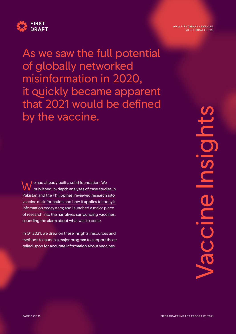

As we saw the full potential of globally networked misinformation in 2020, it quickly became apparent that 2021 would be defined by the vaccine.

e had already built a solid foundation. We published in-depth analyses of case studies in [Pakistan](https://firstdraftnews.org/long-form-article/first-draft-case-study-understanding-the-impact-of-polio-vaccine-disinformation-in-pakistan/) and [the Philippines](https://firstdraftnews.org/long-form-article/exploring-the-controversy-around-dengvaxia-and-vaccine-misinformation-in-the-philippines-draft/); reviewed [research into](https://www.sabin.org/sites/sabin.org/files/sabin-aspen-report-2020_meeting_the_challenge_of_vaccine_hesitancy.pdf)  [vaccine misinformation and how it applies to today's](https://www.sabin.org/sites/sabin.org/files/sabin-aspen-report-2020_meeting_the_challenge_of_vaccine_hesitancy.pdf)  [information ecosystem;](https://www.sabin.org/sites/sabin.org/files/sabin-aspen-report-2020_meeting_the_challenge_of_vaccine_hesitancy.pdf) and launched a major piece of [research into the narratives surrounding vaccines](https://firstdraftnews.org/vaccine-narratives-report), sounding the alarm about what was to come. W

In Q1 2021, we drew on these insights, resources and methods to launch a major program to support those relied upon for accurate information about vaccines.

WWW.FIRSTDRAFTNEWS.ORG @FIRSTDRAFTNEWS

> Vaccine Insights Insid CCIN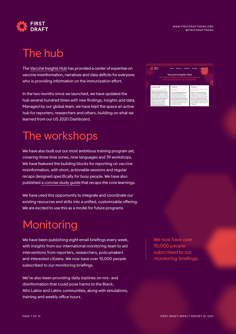



# The hub

The [Vaccine Insights Hub](https://firstdraftnews.org/vaccineinsights/) has provided a center of expertise on vaccine misinformation, narratives and data deficits for everyone who is providing information on the immunization effort.

In the two months since we launched, we have updated the hub several hundred times with new findings, insights and data. Managed by our global team, we have kept the space an active hub for reporters, researchers and others, building on what we learned from our US 2020 Dashboard.

## The workshops

We have also built out our most ambitious training program yet, covering three time zones, nine languages and 39 workshops. We have featured the building blocks for reporting on vaccine misinformation, with short, actionable sessions and regular recaps designed specifically for busy people. We have also published [a concise study guide](https://firstdraftnews.org/wp-content/uploads/2021/02/FD0102_Snapshot-3.pdf?x48126) that recaps the core learnings.

We have used this opportunity to integrate and coordinate our existing resources and skills into a unified, customizable offering. We are excited to use this as a model for future programs.

# **Monitoring**

We have been publishing eight email briefings every week, with insights from our international monitoring team to aid interventions from reporters, researchers, policymakers and interested citizens. We now have over 10,000 people subscribed to our monitoring briefings.

We've also been providing daily toplines on mis- and disinformation that could pose harms to the Black, Afro Latinx and Latinx communities, along with simulations, training and weekly office hours.



We now have over 10,000 people subscribed to our monitoring briefings.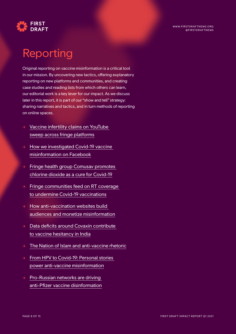

#### Reporting

Original reporting on vaccine misinformation is a critical tool in our mission. By uncovering new tactics, offering explanatory reporting on new platforms and communities, and creating case studies and reading lists from which others can learn, our editorial work is a key lever for our impact. As we discuss later in this report, it is part of our "show and tell" strategy: sharing narratives and tactics, and in turn methods of reporting on online spaces.

- $\rightarrow$  Vaccine infertility claims on YouTube [sweep across fringe platforms](https://firstdraftnews.org/latest/vaccine-infertility-claims-youtube-fringe/)
- $\rightarrow$  How we investigated Covid-19 vaccine [misinformation on Facebook](https://firstdraftnews.org/latest/how-we-investigated-the-spread-of-covid-19-vaccine-misinformation-on-facebook/)
- $\rightarrow$  Fringe health group Comusav promotes [chlorine dioxide as a cure for Covid-19](https://firstdraftnews.org/latest/comusav-a-fringe-health-group-known-for-spreading-anti-vaccine-sentiment-promotes-chlorine-dioxide-as-a-cure-for-covid-19-online/)
- $\rightarrow$  Fringe communities feed on RT coverage [to undermine Covid-19 vaccinations](https://firstdraftnews.org/latest/rt-fringe-undermine-covid-vaccinations/)
- $\rightarrow$  How anti-vaccination websites build [audiences and monetize misinformation](https://firstdraftnews.org/latest/antivaccination-audiences-monetize/)
- $\rightarrow$  Data deficits around Covaxin contribute [to vaccine hesitancy in India](https://firstdraftnews.org/latest/data-deficits-around-covaxin-contribute-to-vaccine-hesitancy-in-india/)
- $\rightarrow$  [The Nation of Islam and anti-vaccine rhetoric](https://firstdraftnews.org/latest/the-nation-of-islam-and-anti-vaccine-rhetoric/)
- $\rightarrow$  From HPV to Covid-19: Personal stories [power anti-vaccine misinformation](https://firstdraftnews.org/latest/personal-stories-power-anti-vaccine-misinfo/)
- $\rightarrow$  Pro-Russian networks are driving [anti-Pfizer vaccine disinformation](https://firstdraftnews.org/latest/anti-pfizer-vaccine-narratives/)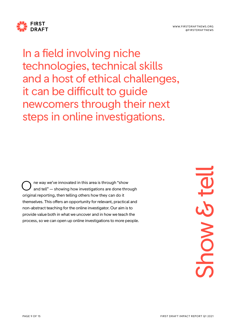

In a field involving niche technologies, technical skills and a host of ethical challenges, it can be difficult to guide newcomers through their next steps in online investigations.

ne way we've innovated in this area is through "show and tell" — showing how investigations are done through original reporting, then telling others how they can do it themselves. This offers an opportunity for relevant, practical and non-abstract teaching for the online investigator. Our aim is to provide value both in what we uncover and in how we teach the process, so we can open up online investigations to more people. O

Show & tell Show & te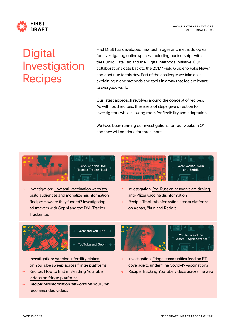



# **Digital** Investigation Recipes

First Draft has developed new techniques and methodologies for investigating online spaces, including partnerships with the Public Data Lab and the Digital Methods Initiative. Our collaborations date back to the 2017 "Field Guide to Fake News" and continue to this day. Part of the challenge we take on is explaining niche methods and tools in a way that feels relevant to everyday work.

Our latest approach revolves around the concept of recipes. As with food recipes, these sets of steps give direction to investigators while allowing room for flexibility and adaptation.

We have been running our investigations for four weeks in Q1, and they will continue for three more.





- → Investigation: [How anti-vaccination websites](https://firstdraftnews.org/latest/antivaccination-audiences-monetize/)  [build audiences and monetize misinformation](https://firstdraftnews.org/latest/antivaccination-audiences-monetize/)
- Recipe: How are they funded? Investigating [ad trackers with Gephi and the DMI Tracker](https://firstdraftnews.org/long-form-article/trackers-gephi-dmi/)  [Tracker tool](https://firstdraftnews.org/long-form-article/trackers-gephi-dmi/)



- → Investigation: [Pro-Russian networks are driving](https://firstdraftnews.org/latest/anti-pfizer-vaccine-narratives/)  [anti-Pfizer vaccine disinformation](https://firstdraftnews.org/latest/anti-pfizer-vaccine-narratives/)
- Recipe: Track misinformation across platforms [on 4chan, 8kun and Reddit](https://firstdraftnews.org/long-form-article/tracking-cross-platform-spread/)



4 cat and YouTube

YouTube and Gephi

- → Investigation: [Vaccine infertility claims](https://firstdraftnews.org/latest/vaccine-infertility-claims-youtube-fringe/)  [on YouTube sweep across fringe platforms](https://firstdraftnews.org/latest/vaccine-infertility-claims-youtube-fringe/)
- $\rightarrow$  Recipe: How to find misleading YouTube [videos on fringe platforms](https://firstdraftnews.org/long-form-article/misleading-youtube-videos-fringe-platforms/)
- Recipe: Misinformation networks on YouTube: [recommended videos](https://firstdraftnews.org/long-form-article/misinformation-youtube-recommended-videos/)





- → Investigation: [Fringe communities feed on RT](https://firstdraftnews.org/latest/rt-fringe-undermine-covid-vaccinations/)  [coverage to undermine Covid-19 vaccinations](https://firstdraftnews.org/latest/rt-fringe-undermine-covid-vaccinations/)
- Recipe: Tracking YouTube videos across the web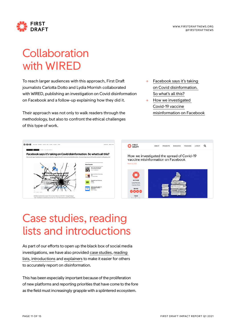



# **Collaboration** with WIRED

To reach larger audiences with this approach, First Draft journalists Carlotta Dotto and Lydia Morrish collaborated with WIRED, publishing an investigation on Covid disinformation on Facebook and a follow-up explaining how they did it.

Their approach was not only to walk readers through the methodology, but also to confront the ethical challenges of this type of work.

- $\rightarrow$  Facebook says it's taking [on Covid disinformation.](https://www.wired.co.uk/article/facebook-covid-disinformation)  [So what's all this?](https://www.wired.co.uk/article/facebook-covid-disinformation)
- How we investigated [Covid-19 vaccine](https://firstdraftnews.org/latest/how-we-investigated-the-spread-of-covid-19-vaccine-misinformation-on-facebook/)  [misinformation on Facebook](https://firstdraftnews.org/latest/how-we-investigated-the-spread-of-covid-19-vaccine-misinformation-on-facebook/)



# Case studies, reading lists and introductions

As part of our efforts to open up the black box of social media investigations, we have also provided [case studies,](https://firstdraftnews.org/latest/vaccine-misinformation-in-papua-new-guinea-draws-on-distrust-of-authorities/) [reading](https://firstdraftnews.org/latest/covering-extremism-a-reading-list/)  [lists](https://firstdraftnews.org/latest/covering-extremism-a-reading-list/), [introductions](https://firstdraftnews.org/latest/an-introduction-to-clubhouse/) and [explainers](https://firstdraftnews.org/latest/the-nation-of-islam-and-anti-vaccine-rhetoric/) to make it easier for others to accurately report on disinformation.

This has been especially important because of the proliferation of new platforms and reporting priorities that have come to the fore as the field must increasingly grapple with a splintered ecosystem.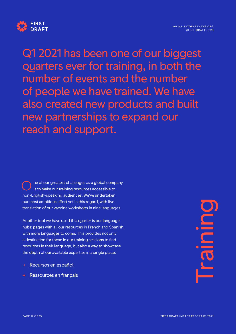



Q1 2021 has been one of our biggest quarters ever for training, in both the number of events and the number of people we have trained. We have also created new products and built new partnerships to expand our reach and support.

ne of our greatest challenges as a global company is to make our training resources accessible to non-English-speaking audiences. We've undertaken our most ambitious effort yet in this regard, with live translation of our vaccine workshops in nine languages. O

Another tool we have used this quarter is our language hubs: pages with all our resources in French and Spanish, with more languages to come. This provides not only a destination for those in our training sessions to find resources in their language, but also a way to showcase the depth of our available expertise in a single place.

- [Recursos en español](https://firstdraftnews.org/recursos-en-espanol/)
- [Ressources en français](https://firstdraftnews.org/ressources-en-francais/)

Training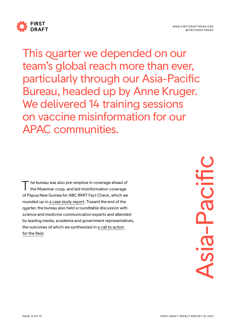

This quarter we depended on our team's global reach more than ever, particularly through our Asia-Pacific Bureau, headed up by Anne Kruger. We delivered 14 training sessions on vaccine misinformation for our APAC communities.

he bureau was also pre-emptive in coverage ahead of the Myanmar coup, and led misinformation coverage of Papua New Guinea for ABC RMIT Fact Check, which we rounded up in [a case study report.](https://firstdraftnews.org/latest/vaccine-misinformation-in-papua-new-guinea-draws-on-distrust-of-authorities/) Toward the end of the quarter, the bureau also held a roundtable discussion with science and medicine communication experts and attended by leading media, academia and government representatives, the outcomes of which we synthesized in [a call to action](https://firstdraftnews.org/latest/scientists-cant-predict-the-future-but-they-can-help-us-prevent-misinformation/)  [for the field](https://firstdraftnews.org/latest/scientists-cant-predict-the-future-but-they-can-help-us-prevent-misinformation/). T

Asia-PacificSia-Pacifi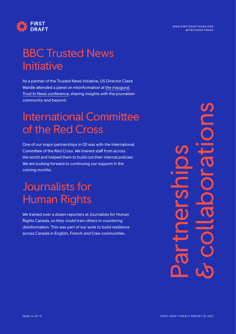

# BBC Trusted News **Initiative**

As a partner of the Trusted News Initiative, US Director Claire Wardle attended a panel on misinformation at [the inaugural](https://www.bbc.co.uk/beyondfakenews/trustinnews)  [Trust In News conference](https://www.bbc.co.uk/beyondfakenews/trustinnews), sharing insights with the journalism community and beyond.

## International Committee of the Red Cross

One of our major partnerships in Q1 was with the International Committee of the Red Cross. We trained staff from across the world and helped them to build out their internal policies. We are looking forward to continuing our support in the coming months.

## Journalists for Human Rights

We trained over a dozen reporters at Journalists for Human Rights Canada, so they could train others in countering disinformation. This was part of our work to build resilience across Canada in English, French and Cree communities.

Partnerships & collaborations